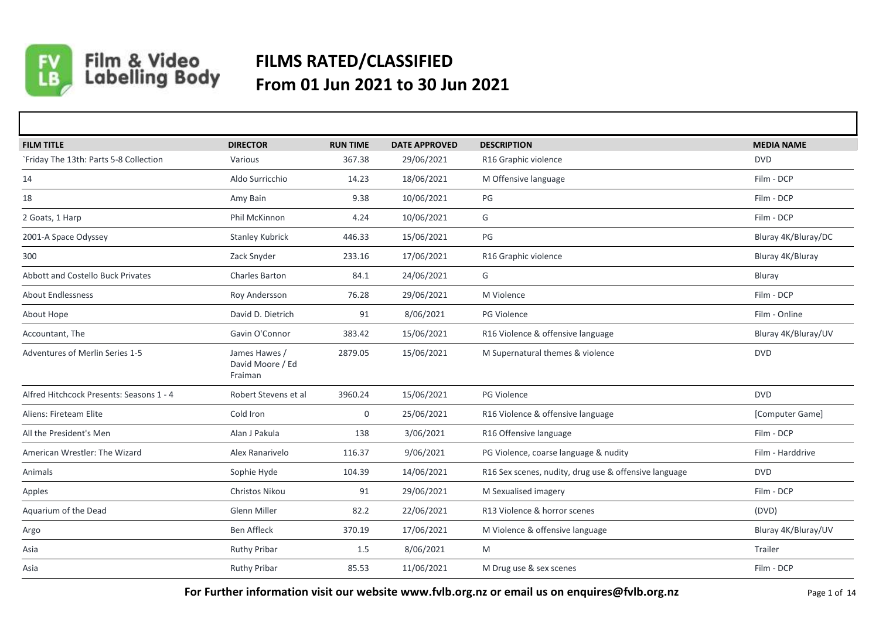

## Film & Video<br>Labelling Body **FILMS RATED/CLASSIFIED From 01 Jun 2021 to 30 Jun 2021**

| <b>FILM TITLE</b>                        | <b>DIRECTOR</b>                              | <b>RUN TIME</b> | <b>DATE APPROVED</b> | <b>DESCRIPTION</b>                                    | <b>MEDIA NAME</b>   |
|------------------------------------------|----------------------------------------------|-----------------|----------------------|-------------------------------------------------------|---------------------|
| `Friday The 13th: Parts 5-8 Collection   | Various                                      | 367.38          | 29/06/2021           | R16 Graphic violence                                  | <b>DVD</b>          |
| 14                                       | Aldo Surricchio                              | 14.23           | 18/06/2021           | M Offensive language                                  | Film - DCP          |
| 18                                       | Amy Bain                                     | 9.38            | 10/06/2021           | PG                                                    | Film - DCP          |
| 2 Goats, 1 Harp                          | Phil McKinnon                                | 4.24            | 10/06/2021           | G                                                     | Film - DCP          |
| 2001-A Space Odyssey                     | <b>Stanley Kubrick</b>                       | 446.33          | 15/06/2021           | PG                                                    | Bluray 4K/Bluray/DC |
| 300                                      | Zack Snyder                                  | 233.16          | 17/06/2021           | R16 Graphic violence                                  | Bluray 4K/Bluray    |
| <b>Abbott and Costello Buck Privates</b> | Charles Barton                               | 84.1            | 24/06/2021           | G                                                     | Bluray              |
| <b>About Endlessness</b>                 | Roy Andersson                                | 76.28           | 29/06/2021           | M Violence                                            | Film - DCP          |
| About Hope                               | David D. Dietrich                            | 91              | 8/06/2021            | PG Violence                                           | Film - Online       |
| Accountant, The                          | Gavin O'Connor                               | 383.42          | 15/06/2021           | R16 Violence & offensive language                     | Bluray 4K/Bluray/UV |
| Adventures of Merlin Series 1-5          | James Hawes /<br>David Moore / Ed<br>Fraiman | 2879.05         | 15/06/2021           | M Supernatural themes & violence                      | <b>DVD</b>          |
| Alfred Hitchcock Presents: Seasons 1 - 4 | Robert Stevens et al                         | 3960.24         | 15/06/2021           | PG Violence                                           | <b>DVD</b>          |
| Aliens: Fireteam Elite                   | Cold Iron                                    | $\mathbf{0}$    | 25/06/2021           | R16 Violence & offensive language                     | [Computer Game]     |
| All the President's Men                  | Alan J Pakula                                | 138             | 3/06/2021            | R16 Offensive language                                | Film - DCP          |
| American Wrestler: The Wizard            | Alex Ranarivelo                              | 116.37          | 9/06/2021            | PG Violence, coarse language & nudity                 | Film - Harddrive    |
| Animals                                  | Sophie Hyde                                  | 104.39          | 14/06/2021           | R16 Sex scenes, nudity, drug use & offensive language | <b>DVD</b>          |
| Apples                                   | <b>Christos Nikou</b>                        | 91              | 29/06/2021           | M Sexualised imagery                                  | Film - DCP          |
| Aquarium of the Dead                     | Glenn Miller                                 | 82.2            | 22/06/2021           | R13 Violence & horror scenes                          | (DVD)               |
| Argo                                     | <b>Ben Affleck</b>                           | 370.19          | 17/06/2021           | M Violence & offensive language                       | Bluray 4K/Bluray/UV |
| Asia                                     | <b>Ruthy Pribar</b>                          | 1.5             | 8/06/2021            | M                                                     | Trailer             |
| Asia                                     | <b>Ruthy Pribar</b>                          | 85.53           | 11/06/2021           | M Drug use & sex scenes                               | Film - DCP          |

**For Further information visit our website www.fvlb.org.nz or email us on enquires@fvlb.org.nz** Page 1 of 14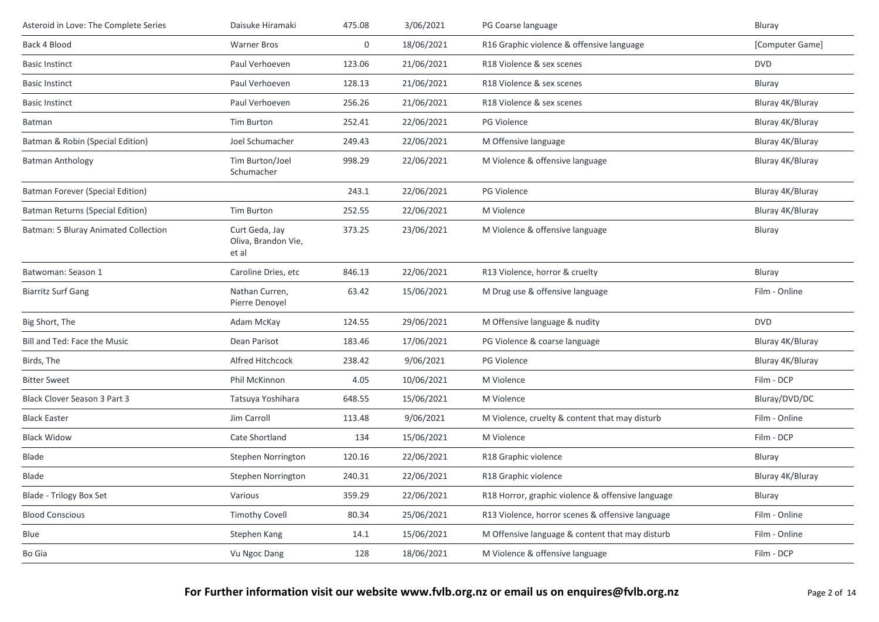| Asteroid in Love: The Complete Series | Daisuke Hiramaki                               | 475.08      | 3/06/2021  | PG Coarse language                                | Bluray           |
|---------------------------------------|------------------------------------------------|-------------|------------|---------------------------------------------------|------------------|
| Back 4 Blood                          | <b>Warner Bros</b>                             | $\mathbf 0$ | 18/06/2021 | R16 Graphic violence & offensive language         | [Computer Game]  |
| <b>Basic Instinct</b>                 | Paul Verhoeven                                 | 123.06      | 21/06/2021 | R18 Violence & sex scenes                         | <b>DVD</b>       |
| <b>Basic Instinct</b>                 | Paul Verhoeven                                 | 128.13      | 21/06/2021 | R18 Violence & sex scenes                         | Bluray           |
| <b>Basic Instinct</b>                 | Paul Verhoeven                                 | 256.26      | 21/06/2021 | R18 Violence & sex scenes                         | Bluray 4K/Bluray |
| Batman                                | Tim Burton                                     | 252.41      | 22/06/2021 | <b>PG Violence</b>                                | Bluray 4K/Bluray |
| Batman & Robin (Special Edition)      | Joel Schumacher                                | 249.43      | 22/06/2021 | M Offensive language                              | Bluray 4K/Bluray |
| <b>Batman Anthology</b>               | Tim Burton/Joel<br>Schumacher                  | 998.29      | 22/06/2021 | M Violence & offensive language                   | Bluray 4K/Bluray |
| Batman Forever (Special Edition)      |                                                | 243.1       | 22/06/2021 | PG Violence                                       | Bluray 4K/Bluray |
| Batman Returns (Special Edition)      | <b>Tim Burton</b>                              | 252.55      | 22/06/2021 | M Violence                                        | Bluray 4K/Bluray |
| Batman: 5 Bluray Animated Collection  | Curt Geda, Jay<br>Oliva, Brandon Vie,<br>et al | 373.25      | 23/06/2021 | M Violence & offensive language                   | Bluray           |
| Batwoman: Season 1                    | Caroline Dries, etc                            | 846.13      | 22/06/2021 | R13 Violence, horror & cruelty                    | Bluray           |
| <b>Biarritz Surf Gang</b>             | Nathan Curren,<br>Pierre Denoyel               | 63.42       | 15/06/2021 | M Drug use & offensive language                   | Film - Online    |
| Big Short, The                        | Adam McKay                                     | 124.55      | 29/06/2021 | M Offensive language & nudity                     | <b>DVD</b>       |
| Bill and Ted: Face the Music          | Dean Parisot                                   | 183.46      | 17/06/2021 | PG Violence & coarse language                     | Bluray 4K/Bluray |
| Birds, The                            | Alfred Hitchcock                               | 238.42      | 9/06/2021  | PG Violence                                       | Bluray 4K/Bluray |
| <b>Bitter Sweet</b>                   | Phil McKinnon                                  | 4.05        | 10/06/2021 | M Violence                                        | Film - DCP       |
| <b>Black Clover Season 3 Part 3</b>   | Tatsuya Yoshihara                              | 648.55      | 15/06/2021 | M Violence                                        | Bluray/DVD/DC    |
| <b>Black Easter</b>                   | Jim Carroll                                    | 113.48      | 9/06/2021  | M Violence, cruelty & content that may disturb    | Film - Online    |
| <b>Black Widow</b>                    | Cate Shortland                                 | 134         | 15/06/2021 | M Violence                                        | Film - DCP       |
| Blade                                 | Stephen Norrington                             | 120.16      | 22/06/2021 | R18 Graphic violence                              | Bluray           |
| <b>Blade</b>                          | Stephen Norrington                             | 240.31      | 22/06/2021 | R18 Graphic violence                              | Bluray 4K/Bluray |
| Blade - Trilogy Box Set               | Various                                        | 359.29      | 22/06/2021 | R18 Horror, graphic violence & offensive language | Bluray           |
| <b>Blood Conscious</b>                | <b>Timothy Covell</b>                          | 80.34       | 25/06/2021 | R13 Violence, horror scenes & offensive language  | Film - Online    |
| Blue                                  | Stephen Kang                                   | 14.1        | 15/06/2021 | M Offensive language & content that may disturb   | Film - Online    |
| Bo Gia                                | Vu Ngoc Dang                                   | 128         | 18/06/2021 | M Violence & offensive language                   | Film - DCP       |
|                                       |                                                |             |            |                                                   |                  |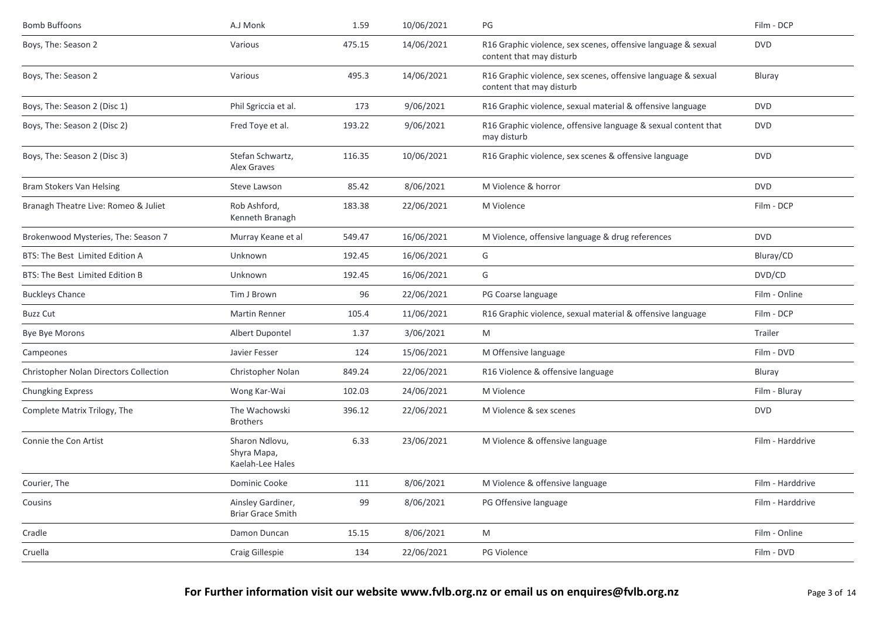| <b>Bomb Buffoons</b>                   | A.J Monk                                          | 1.59   | 10/06/2021 | PG                                                                                        | Film - DCP       |
|----------------------------------------|---------------------------------------------------|--------|------------|-------------------------------------------------------------------------------------------|------------------|
| Boys, The: Season 2                    | Various                                           | 475.15 | 14/06/2021 | R16 Graphic violence, sex scenes, offensive language & sexual<br>content that may disturb | <b>DVD</b>       |
| Boys, The: Season 2                    | Various                                           | 495.3  | 14/06/2021 | R16 Graphic violence, sex scenes, offensive language & sexual<br>content that may disturb | Bluray           |
| Boys, The: Season 2 (Disc 1)           | Phil Sgriccia et al.                              | 173    | 9/06/2021  | R16 Graphic violence, sexual material & offensive language                                | <b>DVD</b>       |
| Boys, The: Season 2 (Disc 2)           | Fred Toye et al.                                  | 193.22 | 9/06/2021  | R16 Graphic violence, offensive language & sexual content that<br>may disturb             | <b>DVD</b>       |
| Boys, The: Season 2 (Disc 3)           | Stefan Schwartz,<br>Alex Graves                   | 116.35 | 10/06/2021 | R16 Graphic violence, sex scenes & offensive language                                     | <b>DVD</b>       |
| Bram Stokers Van Helsing               | Steve Lawson                                      | 85.42  | 8/06/2021  | M Violence & horror                                                                       | <b>DVD</b>       |
| Branagh Theatre Live: Romeo & Juliet   | Rob Ashford,<br>Kenneth Branagh                   | 183.38 | 22/06/2021 | M Violence                                                                                | Film - DCP       |
| Brokenwood Mysteries, The: Season 7    | Murray Keane et al                                | 549.47 | 16/06/2021 | M Violence, offensive language & drug references                                          | <b>DVD</b>       |
| BTS: The Best Limited Edition A        | Unknown                                           | 192.45 | 16/06/2021 | G                                                                                         | Bluray/CD        |
| BTS: The Best Limited Edition B        | Unknown                                           | 192.45 | 16/06/2021 | G                                                                                         | DVD/CD           |
| <b>Buckleys Chance</b>                 | Tim J Brown                                       | 96     | 22/06/2021 | PG Coarse language                                                                        | Film - Online    |
| <b>Buzz Cut</b>                        | <b>Martin Renner</b>                              | 105.4  | 11/06/2021 | R16 Graphic violence, sexual material & offensive language                                | Film - DCP       |
| Bye Bye Morons                         | Albert Dupontel                                   | 1.37   | 3/06/2021  | M                                                                                         | Trailer          |
| Campeones                              | Javier Fesser                                     | 124    | 15/06/2021 | M Offensive language                                                                      | Film - DVD       |
| Christopher Nolan Directors Collection | Christopher Nolan                                 | 849.24 | 22/06/2021 | R16 Violence & offensive language                                                         | Bluray           |
| <b>Chungking Express</b>               | Wong Kar-Wai                                      | 102.03 | 24/06/2021 | M Violence                                                                                | Film - Bluray    |
| Complete Matrix Trilogy, The           | The Wachowski<br><b>Brothers</b>                  | 396.12 | 22/06/2021 | M Violence & sex scenes                                                                   | <b>DVD</b>       |
| Connie the Con Artist                  | Sharon Ndlovu,<br>Shyra Mapa,<br>Kaelah-Lee Hales | 6.33   | 23/06/2021 | M Violence & offensive language                                                           | Film - Harddrive |
| Courier, The                           | Dominic Cooke                                     | 111    | 8/06/2021  | M Violence & offensive language                                                           | Film - Harddrive |
| Cousins                                | Ainsley Gardiner,<br><b>Briar Grace Smith</b>     | 99     | 8/06/2021  | PG Offensive language                                                                     | Film - Harddrive |
| Cradle                                 | Damon Duncan                                      | 15.15  | 8/06/2021  | M                                                                                         | Film - Online    |
| Cruella                                | Craig Gillespie                                   | 134    | 22/06/2021 | PG Violence                                                                               | Film - DVD       |
|                                        |                                                   |        |            |                                                                                           |                  |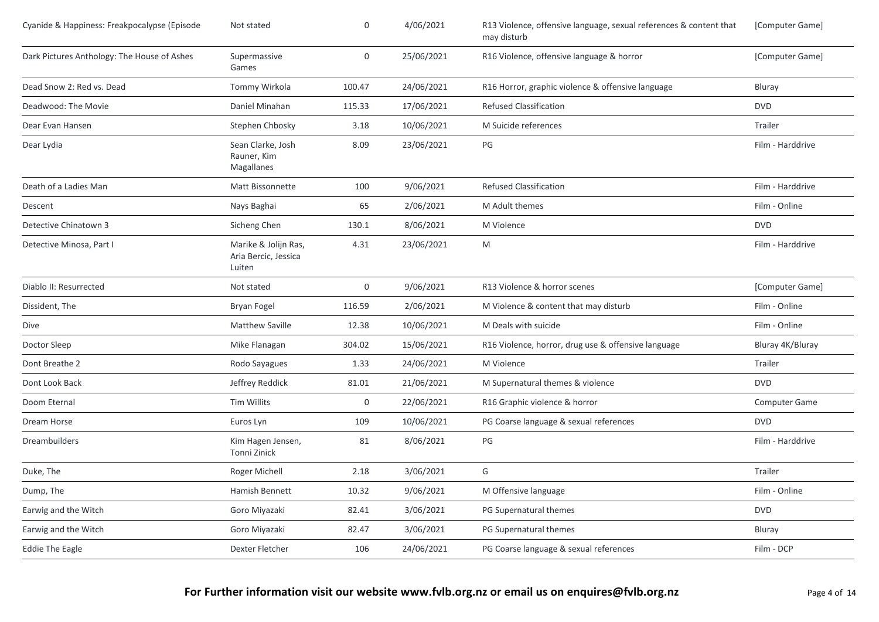| Cyanide & Happiness: Freakpocalypse (Episode | Not stated                                             | 0      | 4/06/2021  | R13 Violence, offensive language, sexual references & content that<br>may disturb | [Computer Game]  |
|----------------------------------------------|--------------------------------------------------------|--------|------------|-----------------------------------------------------------------------------------|------------------|
| Dark Pictures Anthology: The House of Ashes  | Supermassive<br>Games                                  | 0      | 25/06/2021 | R16 Violence, offensive language & horror                                         | [Computer Game]  |
| Dead Snow 2: Red vs. Dead                    | Tommy Wirkola                                          | 100.47 | 24/06/2021 | R16 Horror, graphic violence & offensive language                                 | Bluray           |
| Deadwood: The Movie                          | Daniel Minahan                                         | 115.33 | 17/06/2021 | <b>Refused Classification</b>                                                     | <b>DVD</b>       |
| Dear Evan Hansen                             | Stephen Chbosky                                        | 3.18   | 10/06/2021 | M Suicide references                                                              | Trailer          |
| Dear Lydia                                   | Sean Clarke, Josh<br>Rauner, Kim<br>Magallanes         | 8.09   | 23/06/2021 | PG                                                                                | Film - Harddrive |
| Death of a Ladies Man                        | Matt Bissonnette                                       | 100    | 9/06/2021  | <b>Refused Classification</b>                                                     | Film - Harddrive |
| Descent                                      | Nays Baghai                                            | 65     | 2/06/2021  | M Adult themes                                                                    | Film - Online    |
| Detective Chinatown 3                        | Sicheng Chen                                           | 130.1  | 8/06/2021  | M Violence                                                                        | <b>DVD</b>       |
| Detective Minosa, Part I                     | Marike & Jolijn Ras,<br>Aria Bercic, Jessica<br>Luiten | 4.31   | 23/06/2021 | M                                                                                 | Film - Harddrive |
| Diablo II: Resurrected                       | Not stated                                             | 0      | 9/06/2021  | R13 Violence & horror scenes                                                      | [Computer Game]  |
| Dissident, The                               | Bryan Fogel                                            | 116.59 | 2/06/2021  | M Violence & content that may disturb                                             | Film - Online    |
| Dive                                         | <b>Matthew Saville</b>                                 | 12.38  | 10/06/2021 | M Deals with suicide                                                              | Film - Online    |
| Doctor Sleep                                 | Mike Flanagan                                          | 304.02 | 15/06/2021 | R16 Violence, horror, drug use & offensive language                               | Bluray 4K/Bluray |
| Dont Breathe 2                               | Rodo Sayagues                                          | 1.33   | 24/06/2021 | M Violence                                                                        | Trailer          |
| Dont Look Back                               | Jeffrey Reddick                                        | 81.01  | 21/06/2021 | M Supernatural themes & violence                                                  | <b>DVD</b>       |
| Doom Eternal                                 | <b>Tim Willits</b>                                     | 0      | 22/06/2021 | R16 Graphic violence & horror                                                     | Computer Game    |
| Dream Horse                                  | Euros Lyn                                              | 109    | 10/06/2021 | PG Coarse language & sexual references                                            | <b>DVD</b>       |
| Dreambuilders                                | Kim Hagen Jensen,<br>Tonni Zinick                      | 81     | 8/06/2021  | PG                                                                                | Film - Harddrive |
| Duke, The                                    | Roger Michell                                          | 2.18   | 3/06/2021  | G                                                                                 | Trailer          |
| Dump, The                                    | Hamish Bennett                                         | 10.32  | 9/06/2021  | M Offensive language                                                              | Film - Online    |
| Earwig and the Witch                         | Goro Miyazaki                                          | 82.41  | 3/06/2021  | PG Supernatural themes                                                            | <b>DVD</b>       |
| Earwig and the Witch                         | Goro Miyazaki                                          | 82.47  | 3/06/2021  | PG Supernatural themes                                                            | Bluray           |
| <b>Eddie The Eagle</b>                       | Dexter Fletcher                                        | 106    | 24/06/2021 | PG Coarse language & sexual references                                            | Film - DCP       |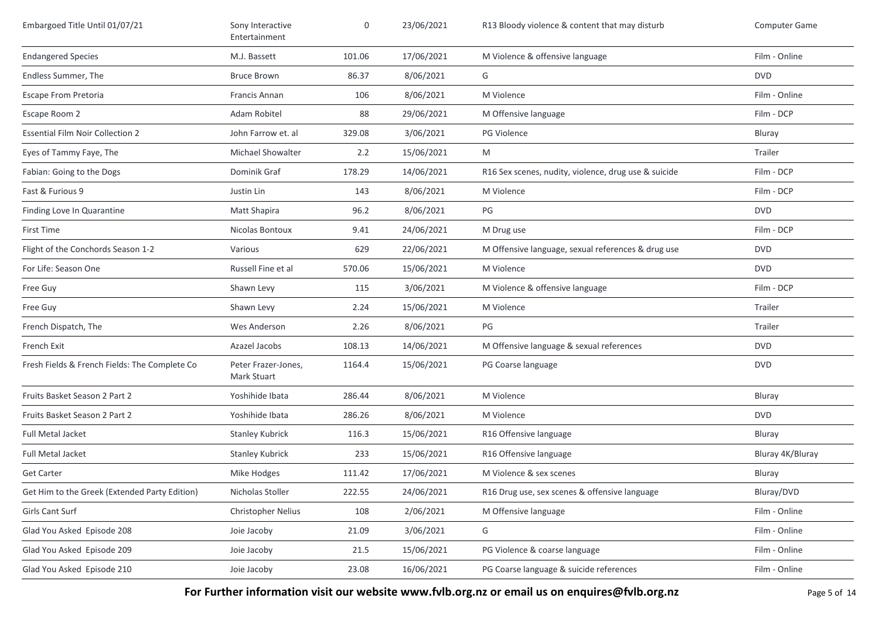| Embargoed Title Until 01/07/21                | Sony Interactive<br>Entertainment  | 0      | 23/06/2021 | R13 Bloody violence & content that may disturb       | Computer Game    |
|-----------------------------------------------|------------------------------------|--------|------------|------------------------------------------------------|------------------|
| <b>Endangered Species</b>                     | M.J. Bassett                       | 101.06 | 17/06/2021 | M Violence & offensive language                      | Film - Online    |
| Endless Summer, The                           | <b>Bruce Brown</b>                 | 86.37  | 8/06/2021  | G                                                    | <b>DVD</b>       |
| <b>Escape From Pretoria</b>                   | Francis Annan                      | 106    | 8/06/2021  | M Violence                                           | Film - Online    |
| Escape Room 2                                 | Adam Robitel                       | 88     | 29/06/2021 | M Offensive language                                 | Film - DCP       |
| <b>Essential Film Noir Collection 2</b>       | John Farrow et. al                 | 329.08 | 3/06/2021  | <b>PG Violence</b>                                   | Bluray           |
| Eyes of Tammy Faye, The                       | <b>Michael Showalter</b>           | 2.2    | 15/06/2021 | M                                                    | Trailer          |
| Fabian: Going to the Dogs                     | Dominik Graf                       | 178.29 | 14/06/2021 | R16 Sex scenes, nudity, violence, drug use & suicide | Film - DCP       |
| Fast & Furious 9                              | Justin Lin                         | 143    | 8/06/2021  | M Violence                                           | Film - DCP       |
| Finding Love In Quarantine                    | Matt Shapira                       | 96.2   | 8/06/2021  | PG                                                   | <b>DVD</b>       |
| <b>First Time</b>                             | Nicolas Bontoux                    | 9.41   | 24/06/2021 | M Drug use                                           | Film - DCP       |
| Flight of the Conchords Season 1-2            | Various                            | 629    | 22/06/2021 | M Offensive language, sexual references & drug use   | <b>DVD</b>       |
| For Life: Season One                          | Russell Fine et al                 | 570.06 | 15/06/2021 | M Violence                                           | <b>DVD</b>       |
| Free Guy                                      | Shawn Levy                         | 115    | 3/06/2021  | M Violence & offensive language                      | Film - DCP       |
| Free Guy                                      | Shawn Levy                         | 2.24   | 15/06/2021 | M Violence                                           | Trailer          |
| French Dispatch, The                          | Wes Anderson                       | 2.26   | 8/06/2021  | PG                                                   | Trailer          |
| French Exit                                   | Azazel Jacobs                      | 108.13 | 14/06/2021 | M Offensive language & sexual references             | <b>DVD</b>       |
| Fresh Fields & French Fields: The Complete Co | Peter Frazer-Jones,<br>Mark Stuart | 1164.4 | 15/06/2021 | PG Coarse language                                   | <b>DVD</b>       |
| Fruits Basket Season 2 Part 2                 | Yoshihide Ibata                    | 286.44 | 8/06/2021  | M Violence                                           | Bluray           |
| Fruits Basket Season 2 Part 2                 | Yoshihide Ibata                    | 286.26 | 8/06/2021  | M Violence                                           | <b>DVD</b>       |
| <b>Full Metal Jacket</b>                      | <b>Stanley Kubrick</b>             | 116.3  | 15/06/2021 | R16 Offensive language                               | Bluray           |
| Full Metal Jacket                             | <b>Stanley Kubrick</b>             | 233    | 15/06/2021 | R16 Offensive language                               | Bluray 4K/Bluray |
| <b>Get Carter</b>                             | Mike Hodges                        | 111.42 | 17/06/2021 | M Violence & sex scenes                              | Bluray           |
| Get Him to the Greek (Extended Party Edition) | Nicholas Stoller                   | 222.55 | 24/06/2021 | R16 Drug use, sex scenes & offensive language        | Bluray/DVD       |
| Girls Cant Surf                               | Christopher Nelius                 | 108    | 2/06/2021  | M Offensive language                                 | Film - Online    |
| Glad You Asked Episode 208                    | Joie Jacoby                        | 21.09  | 3/06/2021  | G                                                    | Film - Online    |
| Glad You Asked Episode 209                    | Joie Jacoby                        | 21.5   | 15/06/2021 | PG Violence & coarse language                        | Film - Online    |
| Glad You Asked Episode 210                    | Joie Jacoby                        | 23.08  | 16/06/2021 | PG Coarse language & suicide references              | Film - Online    |

**For Further information visit our website www.fvlb.org.nz or email us on enquires@fvlb.org.nz** Page 5 of 14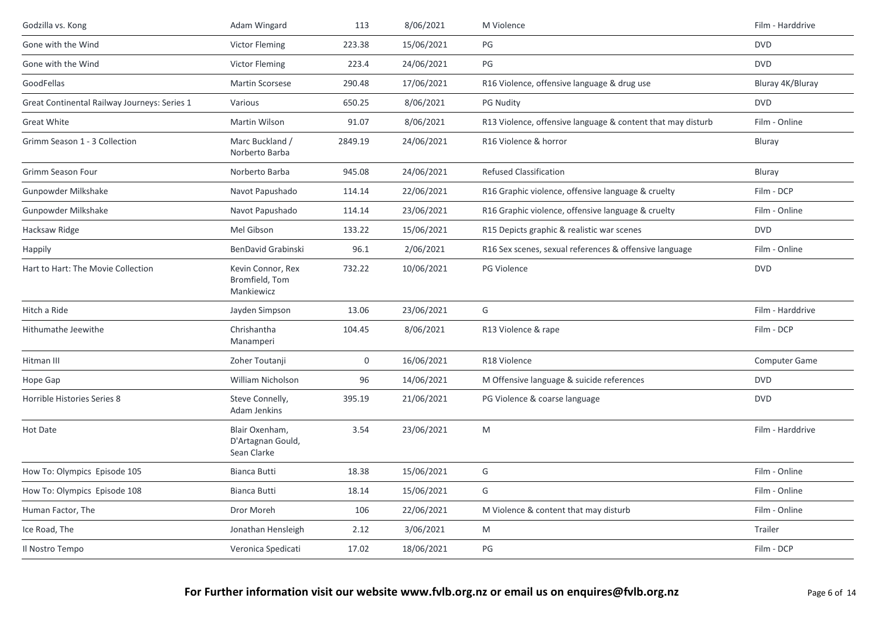| Godzilla vs. Kong                            | Adam Wingard                                       | 113         | 8/06/2021  | M Violence                                                  | Film - Harddrive |
|----------------------------------------------|----------------------------------------------------|-------------|------------|-------------------------------------------------------------|------------------|
| Gone with the Wind                           | Victor Fleming                                     | 223.38      | 15/06/2021 | PG                                                          | <b>DVD</b>       |
| Gone with the Wind                           | <b>Victor Fleming</b>                              | 223.4       | 24/06/2021 | PG                                                          | <b>DVD</b>       |
| GoodFellas                                   | <b>Martin Scorsese</b>                             | 290.48      | 17/06/2021 | R16 Violence, offensive language & drug use                 | Bluray 4K/Bluray |
| Great Continental Railway Journeys: Series 1 | Various                                            | 650.25      | 8/06/2021  | <b>PG Nudity</b>                                            | <b>DVD</b>       |
| <b>Great White</b>                           | <b>Martin Wilson</b>                               | 91.07       | 8/06/2021  | R13 Violence, offensive language & content that may disturb | Film - Online    |
| Grimm Season 1 - 3 Collection                | Marc Buckland /<br>Norberto Barba                  | 2849.19     | 24/06/2021 | R16 Violence & horror                                       | Bluray           |
| Grimm Season Four                            | Norberto Barba                                     | 945.08      | 24/06/2021 | <b>Refused Classification</b>                               | Bluray           |
| Gunpowder Milkshake                          | Navot Papushado                                    | 114.14      | 22/06/2021 | R16 Graphic violence, offensive language & cruelty          | Film - DCP       |
| Gunpowder Milkshake                          | Navot Papushado                                    | 114.14      | 23/06/2021 | R16 Graphic violence, offensive language & cruelty          | Film - Online    |
| Hacksaw Ridge                                | Mel Gibson                                         | 133.22      | 15/06/2021 | R15 Depicts graphic & realistic war scenes                  | <b>DVD</b>       |
| Happily                                      | <b>BenDavid Grabinski</b>                          | 96.1        | 2/06/2021  | R16 Sex scenes, sexual references & offensive language      | Film - Online    |
| Hart to Hart: The Movie Collection           | Kevin Connor, Rex<br>Bromfield, Tom<br>Mankiewicz  | 732.22      | 10/06/2021 | PG Violence                                                 | <b>DVD</b>       |
| Hitch a Ride                                 | Jayden Simpson                                     | 13.06       | 23/06/2021 | G                                                           | Film - Harddrive |
| Hithumathe Jeewithe                          | Chrishantha<br>Manamperi                           | 104.45      | 8/06/2021  | R13 Violence & rape                                         | Film - DCP       |
| Hitman III                                   | Zoher Toutanji                                     | $\mathbf 0$ | 16/06/2021 | R18 Violence                                                | Computer Game    |
| Hope Gap                                     | William Nicholson                                  | 96          | 14/06/2021 | M Offensive language & suicide references                   | <b>DVD</b>       |
| Horrible Histories Series 8                  | Steve Connelly,<br><b>Adam Jenkins</b>             | 395.19      | 21/06/2021 | PG Violence & coarse language                               | <b>DVD</b>       |
| Hot Date                                     | Blair Oxenham,<br>D'Artagnan Gould,<br>Sean Clarke | 3.54        | 23/06/2021 | M                                                           | Film - Harddrive |
| How To: Olympics Episode 105                 | <b>Bianca Butti</b>                                | 18.38       | 15/06/2021 | G                                                           | Film - Online    |
| How To: Olympics Episode 108                 | <b>Bianca Butti</b>                                | 18.14       | 15/06/2021 | G                                                           | Film - Online    |
| Human Factor, The                            | Dror Moreh                                         | 106         | 22/06/2021 | M Violence & content that may disturb                       | Film - Online    |
| Ice Road, The                                | Jonathan Hensleigh                                 | 2.12        | 3/06/2021  | M                                                           | Trailer          |
| Il Nostro Tempo                              | Veronica Spedicati                                 | 17.02       | 18/06/2021 | PG                                                          | Film - DCP       |
|                                              |                                                    |             |            |                                                             |                  |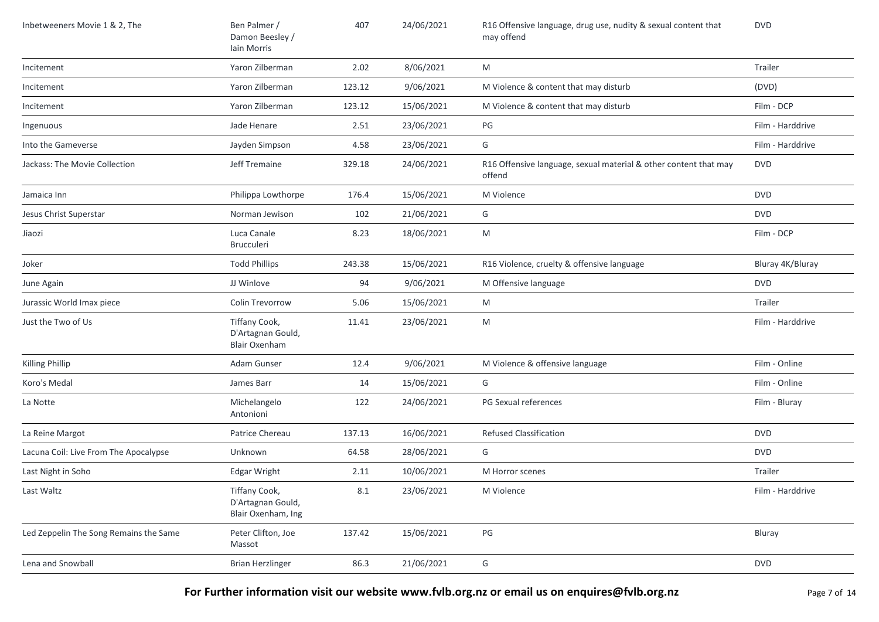| Inbetweeners Movie 1 & 2, The          | Ben Palmer /<br>Damon Beesley /<br>Iain Morris             | 407     | 24/06/2021 | R16 Offensive language, drug use, nudity & sexual content that<br>may offend | <b>DVD</b>       |
|----------------------------------------|------------------------------------------------------------|---------|------------|------------------------------------------------------------------------------|------------------|
| Incitement                             | Yaron Zilberman                                            | 2.02    | 8/06/2021  | M                                                                            | Trailer          |
| Incitement                             | Yaron Zilberman                                            | 123.12  | 9/06/2021  | M Violence & content that may disturb                                        | (DVD)            |
| Incitement                             | Yaron Zilberman                                            | 123.12  | 15/06/2021 | M Violence & content that may disturb                                        | Film - DCP       |
| Ingenuous                              | Jade Henare                                                | 2.51    | 23/06/2021 | PG                                                                           | Film - Harddrive |
| Into the Gameverse                     | Jayden Simpson                                             | 4.58    | 23/06/2021 | G                                                                            | Film - Harddrive |
| Jackass: The Movie Collection          | Jeff Tremaine                                              | 329.18  | 24/06/2021 | R16 Offensive language, sexual material & other content that may<br>offend   | <b>DVD</b>       |
| Jamaica Inn                            | Philippa Lowthorpe                                         | 176.4   | 15/06/2021 | M Violence                                                                   | <b>DVD</b>       |
| Jesus Christ Superstar                 | Norman Jewison                                             | 102     | 21/06/2021 | G                                                                            | <b>DVD</b>       |
| Jiaozi                                 | Luca Canale<br>Brucculeri                                  | 8.23    | 18/06/2021 | M                                                                            | Film - DCP       |
| Joker                                  | <b>Todd Phillips</b>                                       | 243.38  | 15/06/2021 | R16 Violence, cruelty & offensive language                                   | Bluray 4K/Bluray |
| June Again                             | JJ Winlove                                                 | 94      | 9/06/2021  | M Offensive language                                                         | <b>DVD</b>       |
| Jurassic World Imax piece              | Colin Trevorrow                                            | 5.06    | 15/06/2021 | M                                                                            | Trailer          |
| Just the Two of Us                     | Tiffany Cook,<br>D'Artagnan Gould,<br><b>Blair Oxenham</b> | 11.41   | 23/06/2021 | M                                                                            | Film - Harddrive |
| Killing Phillip                        | Adam Gunser                                                | 12.4    | 9/06/2021  | M Violence & offensive language                                              | Film - Online    |
| Koro's Medal                           | James Barr                                                 | 14      | 15/06/2021 | G                                                                            | Film - Online    |
| La Notte                               | Michelangelo<br>Antonioni                                  | 122     | 24/06/2021 | PG Sexual references                                                         | Film - Bluray    |
| La Reine Margot                        | Patrice Chereau                                            | 137.13  | 16/06/2021 | <b>Refused Classification</b>                                                | <b>DVD</b>       |
| Lacuna Coil: Live From The Apocalypse  | Unknown                                                    | 64.58   | 28/06/2021 | G                                                                            | <b>DVD</b>       |
| Last Night in Soho                     | <b>Edgar Wright</b>                                        | 2.11    | 10/06/2021 | M Horror scenes                                                              | Trailer          |
| Last Waltz                             | Tiffany Cook,<br>D'Artagnan Gould,<br>Blair Oxenham, Ing   | $8.1\,$ | 23/06/2021 | M Violence                                                                   | Film - Harddrive |
| Led Zeppelin The Song Remains the Same | Peter Clifton, Joe<br>Massot                               | 137.42  | 15/06/2021 | $\mathsf{PG}$                                                                | Bluray           |
| Lena and Snowball                      | <b>Brian Herzlinger</b>                                    | 86.3    | 21/06/2021 | G                                                                            | <b>DVD</b>       |

**For Further information visit our website www.fvlb.org.nz or email us on enquires@fvlb.org.nz** Page 7 of 14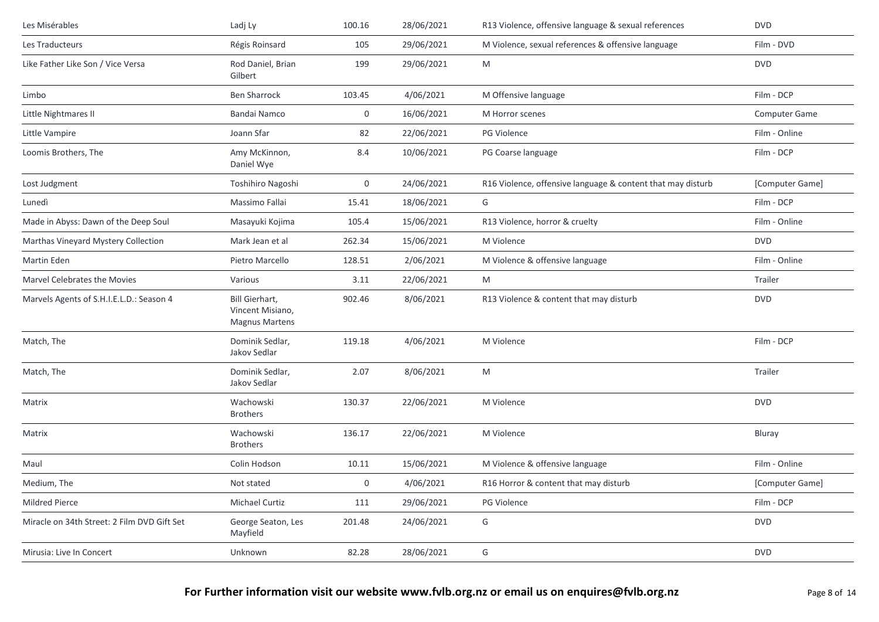| Les Misérables                              | Ladj Ly                                                     | 100.16 | 28/06/2021 | R13 Violence, offensive language & sexual references        | <b>DVD</b>           |
|---------------------------------------------|-------------------------------------------------------------|--------|------------|-------------------------------------------------------------|----------------------|
| Les Traducteurs                             | Régis Roinsard                                              | 105    | 29/06/2021 | M Violence, sexual references & offensive language          | Film - DVD           |
| Like Father Like Son / Vice Versa           | Rod Daniel, Brian<br>Gilbert                                | 199    | 29/06/2021 | M                                                           | <b>DVD</b>           |
| Limbo                                       | <b>Ben Sharrock</b>                                         | 103.45 | 4/06/2021  | M Offensive language                                        | Film - DCP           |
| Little Nightmares II                        | <b>Bandai Namco</b>                                         | 0      | 16/06/2021 | M Horror scenes                                             | <b>Computer Game</b> |
| Little Vampire                              | Joann Sfar                                                  | 82     | 22/06/2021 | PG Violence                                                 | Film - Online        |
| Loomis Brothers, The                        | Amy McKinnon,<br>Daniel Wye                                 | 8.4    | 10/06/2021 | PG Coarse language                                          | Film - DCP           |
| Lost Judgment                               | Toshihiro Nagoshi                                           | 0      | 24/06/2021 | R16 Violence, offensive language & content that may disturb | [Computer Game]      |
| Lunedì                                      | Massimo Fallai                                              | 15.41  | 18/06/2021 | G                                                           | Film - DCP           |
| Made in Abyss: Dawn of the Deep Soul        | Masayuki Kojima                                             | 105.4  | 15/06/2021 | R13 Violence, horror & cruelty                              | Film - Online        |
| Marthas Vineyard Mystery Collection         | Mark Jean et al                                             | 262.34 | 15/06/2021 | M Violence                                                  | <b>DVD</b>           |
| Martin Eden                                 | Pietro Marcello                                             | 128.51 | 2/06/2021  | M Violence & offensive language                             | Film - Online        |
| Marvel Celebrates the Movies                | Various                                                     | 3.11   | 22/06/2021 | M                                                           | Trailer              |
| Marvels Agents of S.H.I.E.L.D.: Season 4    | Bill Gierhart,<br>Vincent Misiano,<br><b>Magnus Martens</b> | 902.46 | 8/06/2021  | R13 Violence & content that may disturb                     | <b>DVD</b>           |
| Match, The                                  | Dominik Sedlar,<br>Jakov Sedlar                             | 119.18 | 4/06/2021  | M Violence                                                  | Film - DCP           |
| Match, The                                  | Dominik Sedlar,<br>Jakov Sedlar                             | 2.07   | 8/06/2021  | M                                                           | Trailer              |
| Matrix                                      | Wachowski<br><b>Brothers</b>                                | 130.37 | 22/06/2021 | M Violence                                                  | <b>DVD</b>           |
| Matrix                                      | Wachowski<br><b>Brothers</b>                                | 136.17 | 22/06/2021 | M Violence                                                  | Bluray               |
| Maul                                        | Colin Hodson                                                | 10.11  | 15/06/2021 | M Violence & offensive language                             | Film - Online        |
| Medium, The                                 | Not stated                                                  | 0      | 4/06/2021  | R16 Horror & content that may disturb                       | [Computer Game]      |
| Mildred Pierce                              | Michael Curtiz                                              | 111    | 29/06/2021 | <b>PG Violence</b>                                          | Film - DCP           |
| Miracle on 34th Street: 2 Film DVD Gift Set | George Seaton, Les<br>Mayfield                              | 201.48 | 24/06/2021 | G                                                           | <b>DVD</b>           |
| Mirusia: Live In Concert                    | Unknown                                                     | 82.28  | 28/06/2021 | G                                                           | <b>DVD</b>           |
|                                             |                                                             |        |            |                                                             |                      |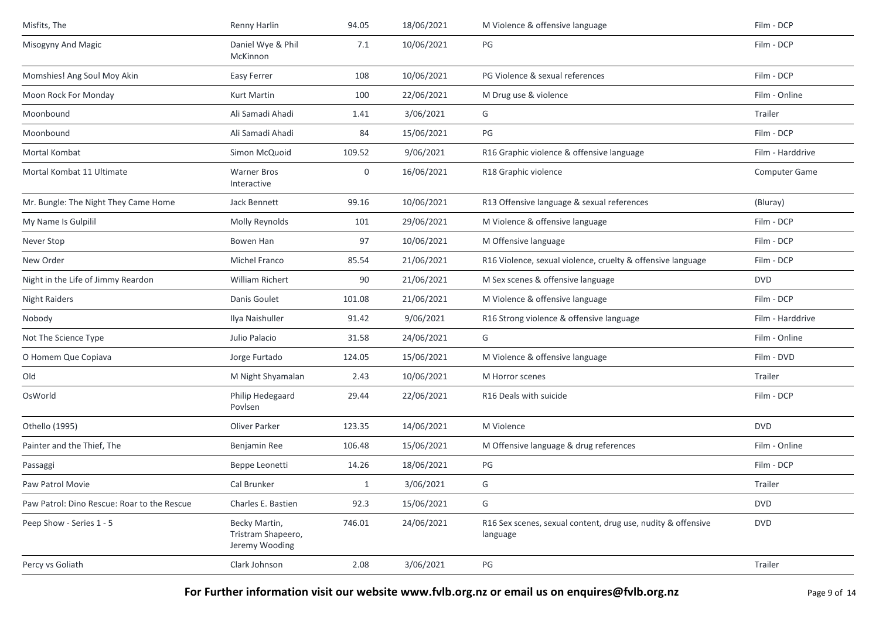| Misfits, The                                | Renny Harlin                                          | 94.05        | 18/06/2021 | M Violence & offensive language                                          | Film - DCP       |
|---------------------------------------------|-------------------------------------------------------|--------------|------------|--------------------------------------------------------------------------|------------------|
| Misogyny And Magic                          | Daniel Wye & Phil<br>McKinnon                         | 7.1          | 10/06/2021 | PG                                                                       | Film - DCP       |
| Momshies! Ang Soul Moy Akin                 | <b>Easy Ferrer</b>                                    | 108          | 10/06/2021 | PG Violence & sexual references                                          | Film - DCP       |
| Moon Rock For Monday                        | Kurt Martin                                           | 100          | 22/06/2021 | M Drug use & violence                                                    | Film - Online    |
| Moonbound                                   | Ali Samadi Ahadi                                      | 1.41         | 3/06/2021  | G                                                                        | Trailer          |
| Moonbound                                   | Ali Samadi Ahadi                                      | 84           | 15/06/2021 | PG                                                                       | Film - DCP       |
| Mortal Kombat                               | Simon McQuoid                                         | 109.52       | 9/06/2021  | R16 Graphic violence & offensive language                                | Film - Harddrive |
| Mortal Kombat 11 Ultimate                   | <b>Warner Bros</b><br>Interactive                     | 0            | 16/06/2021 | R18 Graphic violence                                                     | Computer Game    |
| Mr. Bungle: The Night They Came Home        | Jack Bennett                                          | 99.16        | 10/06/2021 | R13 Offensive language & sexual references                               | (Bluray)         |
| My Name Is Gulpilil                         | Molly Reynolds                                        | 101          | 29/06/2021 | M Violence & offensive language                                          | Film - DCP       |
| Never Stop                                  | Bowen Han                                             | 97           | 10/06/2021 | M Offensive language                                                     | Film - DCP       |
| New Order                                   | Michel Franco                                         | 85.54        | 21/06/2021 | R16 Violence, sexual violence, cruelty & offensive language              | Film - DCP       |
| Night in the Life of Jimmy Reardon          | <b>William Richert</b>                                | 90           | 21/06/2021 | M Sex scenes & offensive language                                        | <b>DVD</b>       |
| <b>Night Raiders</b>                        | Danis Goulet                                          | 101.08       | 21/06/2021 | M Violence & offensive language                                          | Film - DCP       |
| Nobody                                      | Ilya Naishuller                                       | 91.42        | 9/06/2021  | R16 Strong violence & offensive language                                 | Film - Harddrive |
| Not The Science Type                        | Julio Palacio                                         | 31.58        | 24/06/2021 | G                                                                        | Film - Online    |
| O Homem Que Copiava                         | Jorge Furtado                                         | 124.05       | 15/06/2021 | M Violence & offensive language                                          | Film - DVD       |
| Old                                         | M Night Shyamalan                                     | 2.43         | 10/06/2021 | M Horror scenes                                                          | Trailer          |
| OsWorld                                     | Philip Hedegaard<br>Povlsen                           | 29.44        | 22/06/2021 | R <sub>16</sub> Deals with suicide                                       | Film - DCP       |
| Othello (1995)                              | Oliver Parker                                         | 123.35       | 14/06/2021 | M Violence                                                               | <b>DVD</b>       |
| Painter and the Thief, The                  | Benjamin Ree                                          | 106.48       | 15/06/2021 | M Offensive language & drug references                                   | Film - Online    |
| Passaggi                                    | Beppe Leonetti                                        | 14.26        | 18/06/2021 | PG                                                                       | Film - DCP       |
| Paw Patrol Movie                            | Cal Brunker                                           | $\mathbf{1}$ | 3/06/2021  | G                                                                        | Trailer          |
| Paw Patrol: Dino Rescue: Roar to the Rescue | Charles E. Bastien                                    | 92.3         | 15/06/2021 | G                                                                        | <b>DVD</b>       |
| Peep Show - Series 1 - 5                    | Becky Martin,<br>Tristram Shapeero,<br>Jeremy Wooding | 746.01       | 24/06/2021 | R16 Sex scenes, sexual content, drug use, nudity & offensive<br>language | <b>DVD</b>       |
| Percy vs Goliath                            | Clark Johnson                                         | 2.08         | 3/06/2021  | PG                                                                       | Trailer          |
|                                             |                                                       |              |            |                                                                          |                  |

For Further information visit our website www.fvlb.org.nz or email us on enquires@fvlb.org.nz<br>Page 9 of 14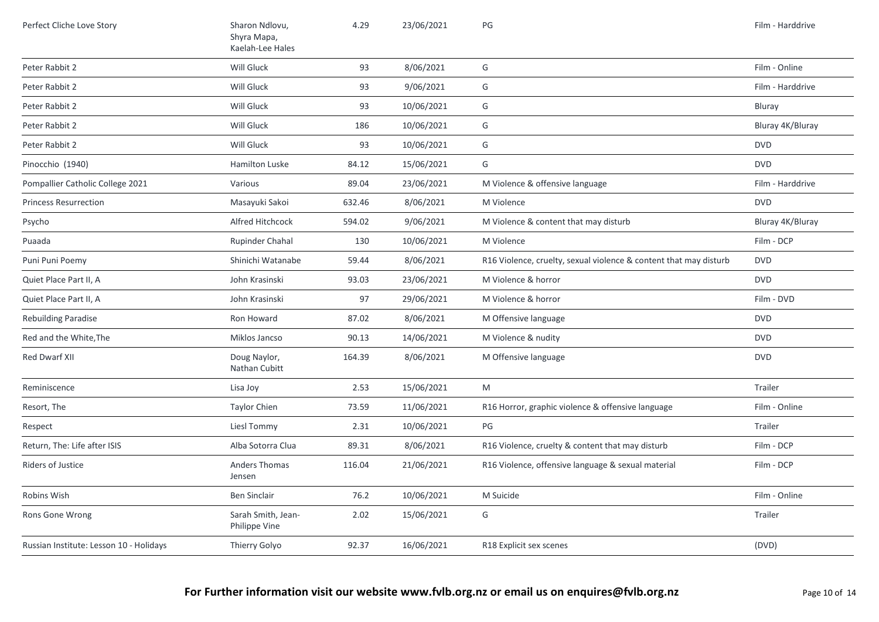| Perfect Cliche Love Story               | Sharon Ndlovu,<br>Shyra Mapa,<br>Kaelah-Lee Hales | 4.29   | 23/06/2021 | $\mathsf{PG}$                                                     | Film - Harddrive |
|-----------------------------------------|---------------------------------------------------|--------|------------|-------------------------------------------------------------------|------------------|
| Peter Rabbit 2                          | Will Gluck                                        | 93     | 8/06/2021  | G                                                                 | Film - Online    |
| Peter Rabbit 2                          | Will Gluck                                        | 93     | 9/06/2021  | G                                                                 | Film - Harddrive |
| Peter Rabbit 2                          | Will Gluck                                        | 93     | 10/06/2021 | G                                                                 | Bluray           |
| Peter Rabbit 2                          | Will Gluck                                        | 186    | 10/06/2021 | G                                                                 | Bluray 4K/Bluray |
| Peter Rabbit 2                          | Will Gluck                                        | 93     | 10/06/2021 | G                                                                 | <b>DVD</b>       |
| Pinocchio (1940)                        | <b>Hamilton Luske</b>                             | 84.12  | 15/06/2021 | G                                                                 | <b>DVD</b>       |
| Pompallier Catholic College 2021        | Various                                           | 89.04  | 23/06/2021 | M Violence & offensive language                                   | Film - Harddrive |
| <b>Princess Resurrection</b>            | Masayuki Sakoi                                    | 632.46 | 8/06/2021  | M Violence                                                        | <b>DVD</b>       |
| Psycho                                  | Alfred Hitchcock                                  | 594.02 | 9/06/2021  | M Violence & content that may disturb                             | Bluray 4K/Bluray |
| Puaada                                  | <b>Rupinder Chahal</b>                            | 130    | 10/06/2021 | M Violence                                                        | Film - DCP       |
| Puni Puni Poemy                         | Shinichi Watanabe                                 | 59.44  | 8/06/2021  | R16 Violence, cruelty, sexual violence & content that may disturb | <b>DVD</b>       |
| Quiet Place Part II, A                  | John Krasinski                                    | 93.03  | 23/06/2021 | M Violence & horror                                               | <b>DVD</b>       |
| Quiet Place Part II, A                  | John Krasinski                                    | 97     | 29/06/2021 | M Violence & horror                                               | Film - DVD       |
| Rebuilding Paradise                     | Ron Howard                                        | 87.02  | 8/06/2021  | M Offensive language                                              | <b>DVD</b>       |
| Red and the White, The                  | Miklos Jancso                                     | 90.13  | 14/06/2021 | M Violence & nudity                                               | <b>DVD</b>       |
| Red Dwarf XII                           | Doug Naylor,<br>Nathan Cubitt                     | 164.39 | 8/06/2021  | M Offensive language                                              | <b>DVD</b>       |
| Reminiscence                            | Lisa Joy                                          | 2.53   | 15/06/2021 | M                                                                 | Trailer          |
| Resort, The                             | <b>Taylor Chien</b>                               | 73.59  | 11/06/2021 | R16 Horror, graphic violence & offensive language                 | Film - Online    |
| Respect                                 | Liesl Tommy                                       | 2.31   | 10/06/2021 | PG                                                                | Trailer          |
| Return, The: Life after ISIS            | Alba Sotorra Clua                                 | 89.31  | 8/06/2021  | R16 Violence, cruelty & content that may disturb                  | Film - DCP       |
| <b>Riders of Justice</b>                | Anders Thomas<br>Jensen                           | 116.04 | 21/06/2021 | R16 Violence, offensive language & sexual material                | Film - DCP       |
| Robins Wish                             | <b>Ben Sinclair</b>                               | 76.2   | 10/06/2021 | M Suicide                                                         | Film - Online    |
| Rons Gone Wrong                         | Sarah Smith, Jean-<br>Philippe Vine               | 2.02   | 15/06/2021 | G                                                                 | Trailer          |
| Russian Institute: Lesson 10 - Holidays | Thierry Golyo                                     | 92.37  | 16/06/2021 | R18 Explicit sex scenes                                           | (DVD)            |
|                                         |                                                   |        |            |                                                                   |                  |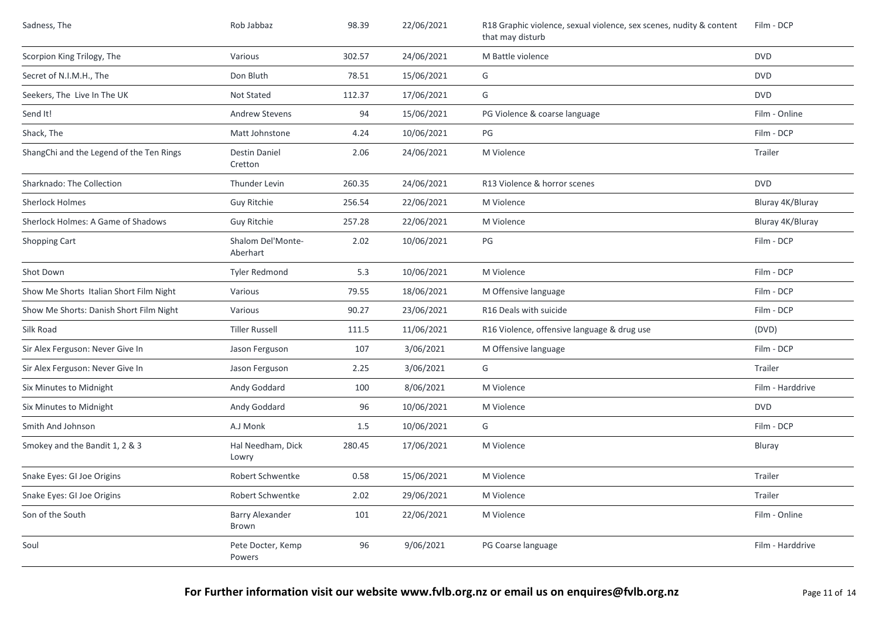| Sadness, The                             | Rob Jabbaz                      | 98.39  | 22/06/2021 | R18 Graphic violence, sexual violence, sex scenes, nudity & content<br>that may disturb | Film - DCP       |
|------------------------------------------|---------------------------------|--------|------------|-----------------------------------------------------------------------------------------|------------------|
| Scorpion King Trilogy, The               | Various                         | 302.57 | 24/06/2021 | M Battle violence                                                                       | <b>DVD</b>       |
| Secret of N.I.M.H., The                  | Don Bluth                       | 78.51  | 15/06/2021 | G                                                                                       | <b>DVD</b>       |
| Seekers, The Live In The UK              | Not Stated                      | 112.37 | 17/06/2021 | G                                                                                       | <b>DVD</b>       |
| Send It!                                 | Andrew Stevens                  | 94     | 15/06/2021 | PG Violence & coarse language                                                           | Film - Online    |
| Shack, The                               | Matt Johnstone                  | 4.24   | 10/06/2021 | PG                                                                                      | Film - DCP       |
| ShangChi and the Legend of the Ten Rings | <b>Destin Daniel</b><br>Cretton | 2.06   | 24/06/2021 | M Violence                                                                              | Trailer          |
| Sharknado: The Collection                | Thunder Levin                   | 260.35 | 24/06/2021 | R13 Violence & horror scenes                                                            | <b>DVD</b>       |
| <b>Sherlock Holmes</b>                   | Guy Ritchie                     | 256.54 | 22/06/2021 | M Violence                                                                              | Bluray 4K/Bluray |
| Sherlock Holmes: A Game of Shadows       | Guy Ritchie                     | 257.28 | 22/06/2021 | M Violence                                                                              | Bluray 4K/Bluray |
| Shopping Cart                            | Shalom Del'Monte-<br>Aberhart   | 2.02   | 10/06/2021 | PG                                                                                      | Film - DCP       |
| Shot Down                                | <b>Tyler Redmond</b>            | 5.3    | 10/06/2021 | M Violence                                                                              | Film - DCP       |
| Show Me Shorts Italian Short Film Night  | Various                         | 79.55  | 18/06/2021 | M Offensive language                                                                    | Film - DCP       |
| Show Me Shorts: Danish Short Film Night  | Various                         | 90.27  | 23/06/2021 | R16 Deals with suicide                                                                  | Film - DCP       |
| Silk Road                                | <b>Tiller Russell</b>           | 111.5  | 11/06/2021 | R16 Violence, offensive language & drug use                                             | (DVD)            |
| Sir Alex Ferguson: Never Give In         | Jason Ferguson                  | 107    | 3/06/2021  | M Offensive language                                                                    | Film - DCP       |
| Sir Alex Ferguson: Never Give In         | Jason Ferguson                  | 2.25   | 3/06/2021  | G                                                                                       | Trailer          |
| Six Minutes to Midnight                  | Andy Goddard                    | 100    | 8/06/2021  | M Violence                                                                              | Film - Harddrive |
| Six Minutes to Midnight                  | Andy Goddard                    | 96     | 10/06/2021 | M Violence                                                                              | <b>DVD</b>       |
| Smith And Johnson                        | A.J Monk                        | 1.5    | 10/06/2021 | G                                                                                       | Film - DCP       |
| Smokey and the Bandit 1, 2 & 3           | Hal Needham, Dick<br>Lowry      | 280.45 | 17/06/2021 | M Violence                                                                              | Bluray           |
| Snake Eyes: GI Joe Origins               | Robert Schwentke                | 0.58   | 15/06/2021 | M Violence                                                                              | Trailer          |
| Snake Eyes: GI Joe Origins               | Robert Schwentke                | 2.02   | 29/06/2021 | M Violence                                                                              | Trailer          |
| Son of the South                         | Barry Alexander<br>Brown        | 101    | 22/06/2021 | M Violence                                                                              | Film - Online    |
| Soul                                     | Pete Docter, Kemp<br>Powers     | 96     | 9/06/2021  | PG Coarse language                                                                      | Film - Harddrive |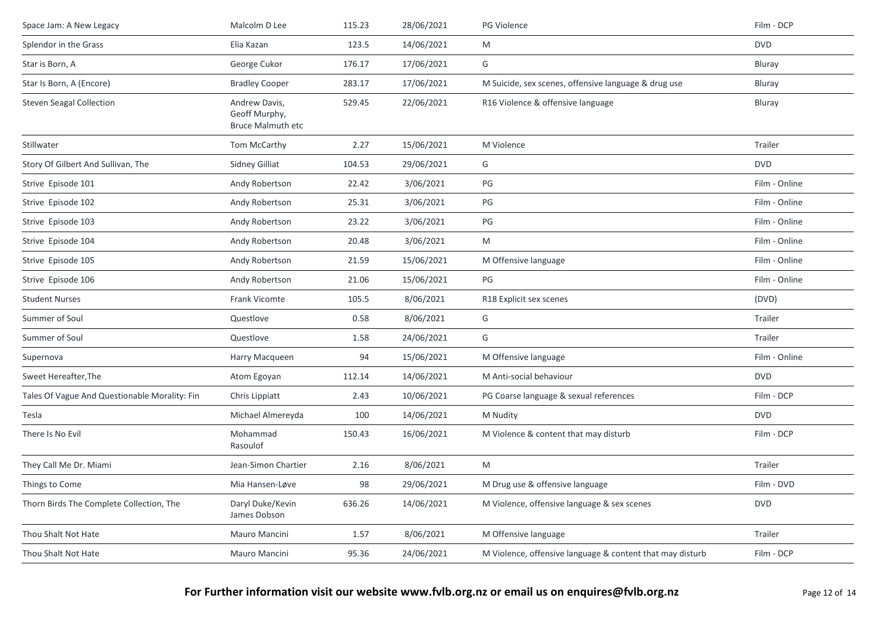| Space Jam: A New Legacy                       | Malcolm D Lee                                       | 115.23 | 28/06/2021 | PG Violence                                               | Film - DCP    |
|-----------------------------------------------|-----------------------------------------------------|--------|------------|-----------------------------------------------------------|---------------|
| Splendor in the Grass                         | Elia Kazan                                          | 123.5  | 14/06/2021 | M                                                         | <b>DVD</b>    |
| Star is Born, A                               | George Cukor                                        | 176.17 | 17/06/2021 | G                                                         | Bluray        |
| Star Is Born, A (Encore)                      | <b>Bradley Cooper</b>                               | 283.17 | 17/06/2021 | M Suicide, sex scenes, offensive language & drug use      | Bluray        |
| <b>Steven Seagal Collection</b>               | Andrew Davis,<br>Geoff Murphy,<br>Bruce Malmuth etc | 529.45 | 22/06/2021 | R16 Violence & offensive language                         | Bluray        |
| Stillwater                                    | Tom McCarthy                                        | 2.27   | 15/06/2021 | M Violence                                                | Trailer       |
| Story Of Gilbert And Sullivan, The            | Sidney Gilliat                                      | 104.53 | 29/06/2021 | G                                                         | <b>DVD</b>    |
| Strive Episode 101                            | Andy Robertson                                      | 22.42  | 3/06/2021  | PG                                                        | Film - Online |
| Strive Episode 102                            | Andy Robertson                                      | 25.31  | 3/06/2021  | PG                                                        | Film - Online |
| Strive Episode 103                            | Andy Robertson                                      | 23.22  | 3/06/2021  | PG                                                        | Film - Online |
| Strive Episode 104                            | Andy Robertson                                      | 20.48  | 3/06/2021  | M                                                         | Film - Online |
| Strive Episode 105                            | Andy Robertson                                      | 21.59  | 15/06/2021 | M Offensive language                                      | Film - Online |
| Strive Episode 106                            | Andy Robertson                                      | 21.06  | 15/06/2021 | PG                                                        | Film - Online |
| <b>Student Nurses</b>                         | Frank Vicomte                                       | 105.5  | 8/06/2021  | R18 Explicit sex scenes                                   | (DVD)         |
| Summer of Soul                                | Questlove                                           | 0.58   | 8/06/2021  | G                                                         | Trailer       |
| Summer of Soul                                | Questlove                                           | 1.58   | 24/06/2021 | G                                                         | Trailer       |
| Supernova                                     | Harry Macqueen                                      | 94     | 15/06/2021 | M Offensive language                                      | Film - Online |
| Sweet Hereafter, The                          | Atom Egoyan                                         | 112.14 | 14/06/2021 | M Anti-social behaviour                                   | <b>DVD</b>    |
| Tales Of Vague And Questionable Morality: Fin | Chris Lippiatt                                      | 2.43   | 10/06/2021 | PG Coarse language & sexual references                    | Film - DCP    |
| Tesla                                         | Michael Almereyda                                   | 100    | 14/06/2021 | M Nudity                                                  | <b>DVD</b>    |
| There Is No Evil                              | Mohammad<br>Rasoulof                                | 150.43 | 16/06/2021 | M Violence & content that may disturb                     | Film - DCP    |
| They Call Me Dr. Miami                        | Jean-Simon Chartier                                 | 2.16   | 8/06/2021  | M                                                         | Trailer       |
| Things to Come                                | Mia Hansen-Løve                                     | 98     | 29/06/2021 | M Drug use & offensive language                           | Film - DVD    |
| Thorn Birds The Complete Collection, The      | Daryl Duke/Kevin<br>James Dobson                    | 636.26 | 14/06/2021 | M Violence, offensive language & sex scenes               | <b>DVD</b>    |
| Thou Shalt Not Hate                           | Mauro Mancini                                       | 1.57   | 8/06/2021  | M Offensive language                                      | Trailer       |
| Thou Shalt Not Hate                           | Mauro Mancini                                       | 95.36  | 24/06/2021 | M Violence, offensive language & content that may disturb | Film - DCP    |
|                                               |                                                     |        |            |                                                           |               |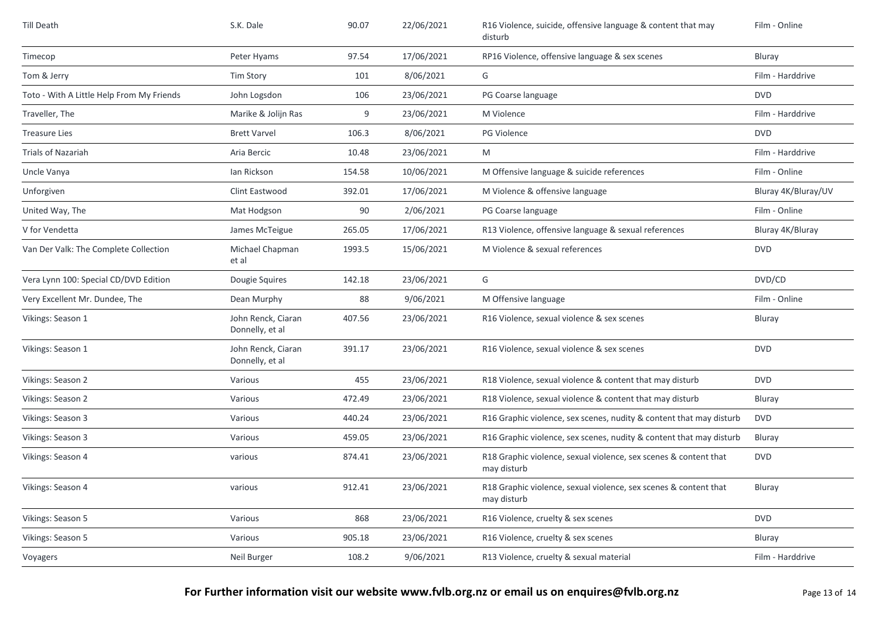| <b>Till Death</b>                         | S.K. Dale                             | 90.07  | 22/06/2021 | R16 Violence, suicide, offensive language & content that may<br>disturb         | Film - Online       |
|-------------------------------------------|---------------------------------------|--------|------------|---------------------------------------------------------------------------------|---------------------|
| Timecop                                   | Peter Hyams                           | 97.54  | 17/06/2021 | RP16 Violence, offensive language & sex scenes                                  | Bluray              |
| Tom & Jerry                               | <b>Tim Story</b>                      | 101    | 8/06/2021  | G                                                                               | Film - Harddrive    |
| Toto - With A Little Help From My Friends | John Logsdon                          | 106    | 23/06/2021 | PG Coarse language                                                              | <b>DVD</b>          |
| Traveller, The                            | Marike & Jolijn Ras                   | 9      | 23/06/2021 | M Violence                                                                      | Film - Harddrive    |
| <b>Treasure Lies</b>                      | <b>Brett Varvel</b>                   | 106.3  | 8/06/2021  | <b>PG Violence</b>                                                              | <b>DVD</b>          |
| <b>Trials of Nazariah</b>                 | Aria Bercic                           | 10.48  | 23/06/2021 | M                                                                               | Film - Harddrive    |
| Uncle Vanya                               | lan Rickson                           | 154.58 | 10/06/2021 | M Offensive language & suicide references                                       | Film - Online       |
| Unforgiven                                | Clint Eastwood                        | 392.01 | 17/06/2021 | M Violence & offensive language                                                 | Bluray 4K/Bluray/UV |
| United Way, The                           | Mat Hodgson                           | 90     | 2/06/2021  | PG Coarse language                                                              | Film - Online       |
| V for Vendetta                            | James McTeigue                        | 265.05 | 17/06/2021 | R13 Violence, offensive language & sexual references                            | Bluray 4K/Bluray    |
| Van Der Valk: The Complete Collection     | Michael Chapman<br>et al              | 1993.5 | 15/06/2021 | M Violence & sexual references                                                  | <b>DVD</b>          |
| Vera Lynn 100: Special CD/DVD Edition     | Dougie Squires                        | 142.18 | 23/06/2021 | G                                                                               | DVD/CD              |
| Very Excellent Mr. Dundee, The            | Dean Murphy                           | 88     | 9/06/2021  | M Offensive language                                                            | Film - Online       |
| Vikings: Season 1                         | John Renck, Ciaran<br>Donnelly, et al | 407.56 | 23/06/2021 | R16 Violence, sexual violence & sex scenes                                      | Bluray              |
| Vikings: Season 1                         | John Renck, Ciaran<br>Donnelly, et al | 391.17 | 23/06/2021 | R16 Violence, sexual violence & sex scenes                                      | <b>DVD</b>          |
| Vikings: Season 2                         | Various                               | 455    | 23/06/2021 | R18 Violence, sexual violence & content that may disturb                        | <b>DVD</b>          |
| Vikings: Season 2                         | Various                               | 472.49 | 23/06/2021 | R18 Violence, sexual violence & content that may disturb                        | Bluray              |
| Vikings: Season 3                         | Various                               | 440.24 | 23/06/2021 | R16 Graphic violence, sex scenes, nudity & content that may disturb             | <b>DVD</b>          |
| Vikings: Season 3                         | Various                               | 459.05 | 23/06/2021 | R16 Graphic violence, sex scenes, nudity & content that may disturb             | Bluray              |
| Vikings: Season 4                         | various                               | 874.41 | 23/06/2021 | R18 Graphic violence, sexual violence, sex scenes & content that<br>may disturb | <b>DVD</b>          |
| Vikings: Season 4                         | various                               | 912.41 | 23/06/2021 | R18 Graphic violence, sexual violence, sex scenes & content that<br>may disturb | Bluray              |
| Vikings: Season 5                         | Various                               | 868    | 23/06/2021 | R16 Violence, cruelty & sex scenes                                              | <b>DVD</b>          |
| Vikings: Season 5                         | Various                               | 905.18 | 23/06/2021 | R16 Violence, cruelty & sex scenes                                              | Bluray              |
| Voyagers                                  | Neil Burger                           | 108.2  | 9/06/2021  | R13 Violence, cruelty & sexual material                                         | Film - Harddrive    |

**For Further information visit our website www.fvlb.org.nz or email us on enquires@fvlb.org.nz** Page 13 of 14